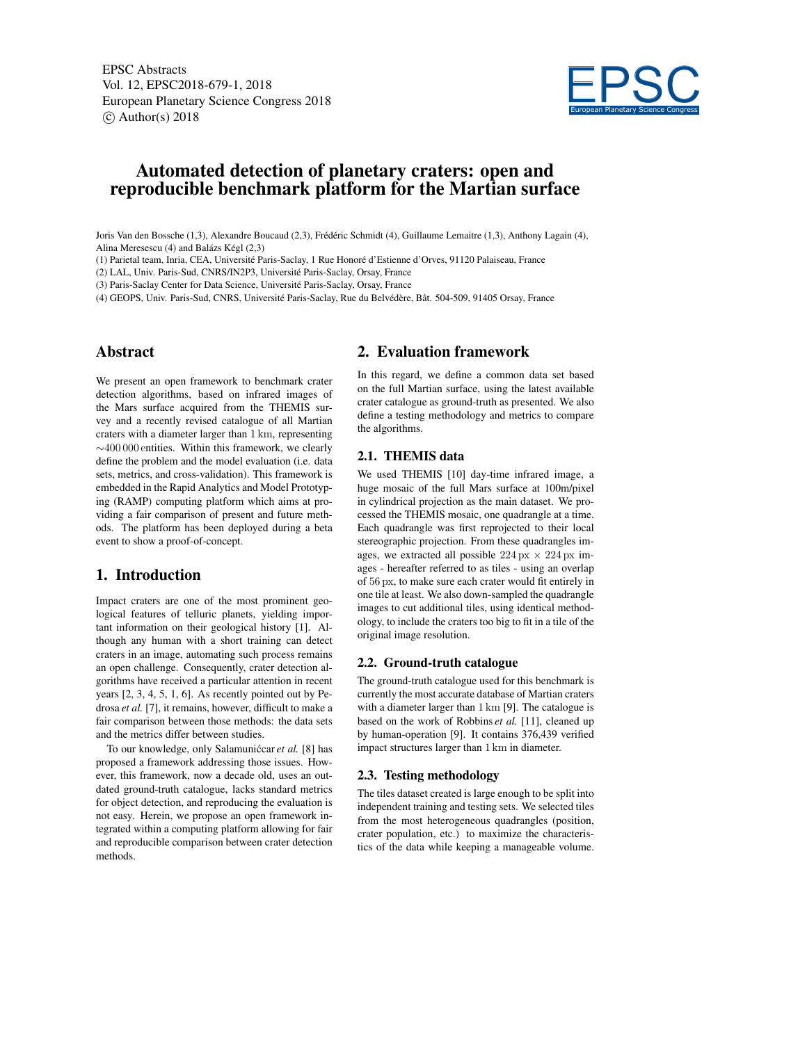EPSC Abstracts Vol. 12, EPSC2018-679-1, 2018 European Planetary Science Congress 2018  $\circ$  Author(s) 2018



# Automated detection of planetary craters: open and reproducible benchmark platform for the Martian surface

Joris Van den Bossche (1,3), Alexandre Boucaud (2,3), Frédéric Schmidt (4), Guillaume Lemaitre (1,3), Anthony Lagain (4), Alina Meresescu (4) and Balázs Kégl (2,3)

(1) Parietal team, Inria, CEA, Université Paris-Saclay, 1 Rue Honoré d'Estienne d'Orves, 91120 Palaiseau, France

(2) LAL, Univ. Paris-Sud, CNRS/IN2P3, Université Paris-Saclay, Orsay, France

(3) Paris-Saclay Center for Data Science, Université Paris-Saclay, Orsay, France

(4) GEOPS, Univ. Paris-Sud, CNRS, Université Paris-Saclay, Rue du Belvédère, Bât. 504-509, 91405 Orsay, France

### Abstract

We present an open framework to benchmark crater detection algorithms, based on infrared images of the Mars surface acquired from the THEMIS survey and a recently revised catalogue of all Martian craters with a diameter larger than 1 km, representing ∼400 000 entities. Within this framework, we clearly define the problem and the model evaluation (i.e. data sets, metrics, and cross-validation). This framework is embedded in the Rapid Analytics and Model Prototyping (RAMP) computing platform which aims at providing a fair comparison of present and future methods. The platform has been deployed during a beta event to show a proof-of-concept.

### 1. Introduction

Impact craters are one of the most prominent geological features of telluric planets, yielding important information on their geological history [1]. Although any human with a short training can detect craters in an image, automating such process remains an open challenge. Consequently, crater detection algorithms have received a particular attention in recent years [2, 3, 4, 5, 1, 6]. As recently pointed out by Pedrosa *et al.* [7], it remains, however, difficult to make a fair comparison between those methods: the data sets and the metrics differ between studies.

To our knowledge, only Salamuniccar et al. [8] has proposed a framework addressing those issues. However, this framework, now a decade old, uses an outdated ground-truth catalogue, lacks standard metrics for object detection, and reproducing the evaluation is not easy. Herein, we propose an open framework integrated within a computing platform allowing for fair and reproducible comparison between crater detection methods.

### 2. Evaluation framework

In this regard, we define a common data set based on the full Martian surface, using the latest available crater catalogue as ground-truth as presented. We also define a testing methodology and metrics to compare the algorithms.

### 2.1. THEMIS data

We used THEMIS [10] day-time infrared image, a huge mosaic of the full Mars surface at 100m/pixel in cylindrical projection as the main dataset. We processed the THEMIS mosaic, one quadrangle at a time. Each quadrangle was first reprojected to their local stereographic projection. From these quadrangles images, we extracted all possible  $224 \text{ px} \times 224 \text{ px}$  images - hereafter referred to as tiles - using an overlap of 56 px, to make sure each crater would fit entirely in one tile at least. We also down-sampled the quadrangle images to cut additional tiles, using identical methodology, to include the craters too big to fit in a tile of the original image resolution.

#### 2.2. Ground-truth catalogue

The ground-truth catalogue used for this benchmark is currently the most accurate database of Martian craters with a diameter larger than 1 km [9]. The catalogue is based on the work of Robbins *et al.* [11], cleaned up by human-operation [9]. It contains 376,439 verified impact structures larger than 1 km in diameter.

#### 2.3. Testing methodology

The tiles dataset created is large enough to be split into independent training and testing sets. We selected tiles from the most heterogeneous quadrangles (position, crater population, etc.) to maximize the characteristics of the data while keeping a manageable volume.